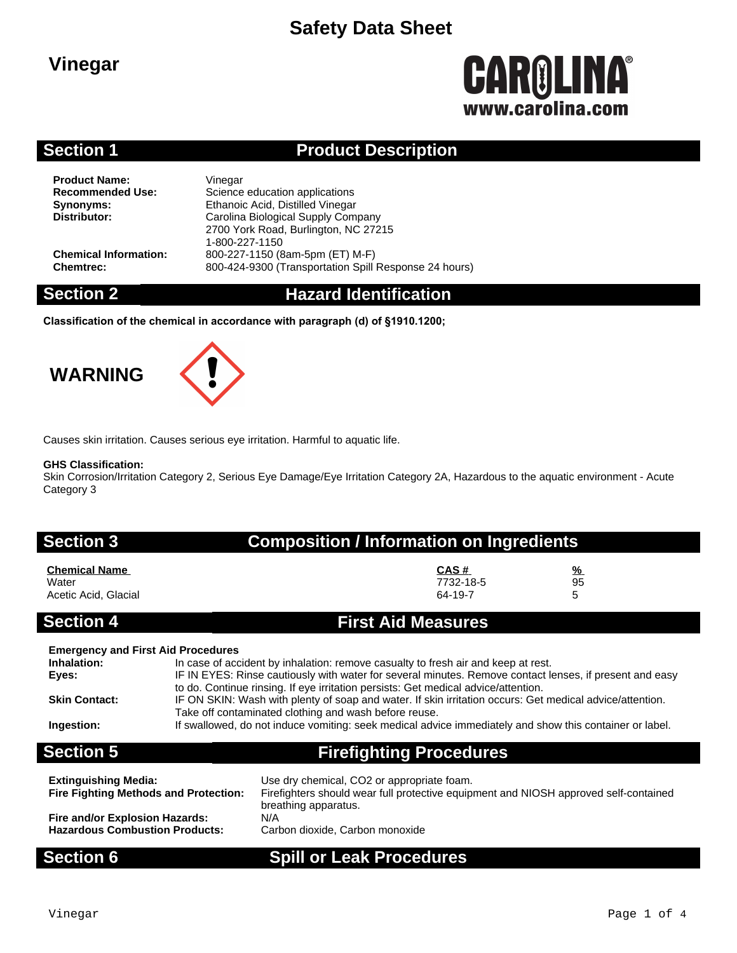# **Safety Data Sheet**

## **Vinegar**

# **CAROLINA** www.carolina.com

### **Section 1 Product Description**

**Product Name:** Vinegar<br> **Recommended Use:** Science

**Science education applications Synonyms:** Ethanoic Acid, Distilled Vinegar<br>
Distributor: Carolina Biological Supply Com **Distributor:** Carolina Biological Supply Company 2700 York Road, Burlington, NC 27215 1-800-227-1150 **Chemical Information:** 800-227-1150 (8am-5pm (ET) M-F) **Chemtrec:** 800-424-9300 (Transportation Spill Response 24 hours)

### **Section 2 Hazard Identification**

**Classification of the chemical in accordance with paragraph (d) of §1910.1200;**

# **WARNING**



Causes skin irritation. Causes serious eye irritation. Harmful to aquatic life.

### **GHS Classification:**

Skin Corrosion/Irritation Category 2, Serious Eye Damage/Eye Irritation Category 2A, Hazardous to the aquatic environment - Acute Category 3

### **Section 3 Composition / Information on Ingredients**

| <b>Chemical Name</b> | CAS#      | $\frac{9}{6}$ |
|----------------------|-----------|---------------|
| Water                | 7732-18-5 | 95            |
| Acetic Acid, Glacial | 64-19-7   |               |

### **Section 4 First Aid Measures**

| <b>Emergency and First Aid Procedures</b>    | In case of accident by inhalation: remove casualty to fresh air and keep at rest.                                                                                                                                                                                            |  |  |  |
|----------------------------------------------|------------------------------------------------------------------------------------------------------------------------------------------------------------------------------------------------------------------------------------------------------------------------------|--|--|--|
| Inhalation:                                  | IF IN EYES: Rinse cautiously with water for several minutes. Remove contact lenses, if present and easy                                                                                                                                                                      |  |  |  |
| Eyes:                                        | to do. Continue rinsing. If eye irritation persists: Get medical advice/attention.                                                                                                                                                                                           |  |  |  |
| <b>Skin Contact:</b><br>Ingestion:           | IF ON SKIN: Wash with plenty of soap and water. If skin irritation occurs: Get medical advice/attention.<br>Take off contaminated clothing and wash before reuse.<br>If swallowed, do not induce vomiting: seek medical advice immediately and show this container or label. |  |  |  |
| <b>Section 5</b>                             | <b>Firefighting Procedures</b>                                                                                                                                                                                                                                               |  |  |  |
| <b>Extinguishing Media:</b>                  | Use dry chemical, CO2 or appropriate foam.                                                                                                                                                                                                                                   |  |  |  |
| <b>Fire Fighting Methods and Protection:</b> | Firefighters should wear full protective equipment and NIOSH approved self-contained                                                                                                                                                                                         |  |  |  |

**Fire and/or Explosion Hazards:** N/A<br>**Hazardous Combustion Products:** Carl

breathing apparatus. Carbon dioxide, Carbon monoxide

### **Section 6 Spill or Leak Procedures**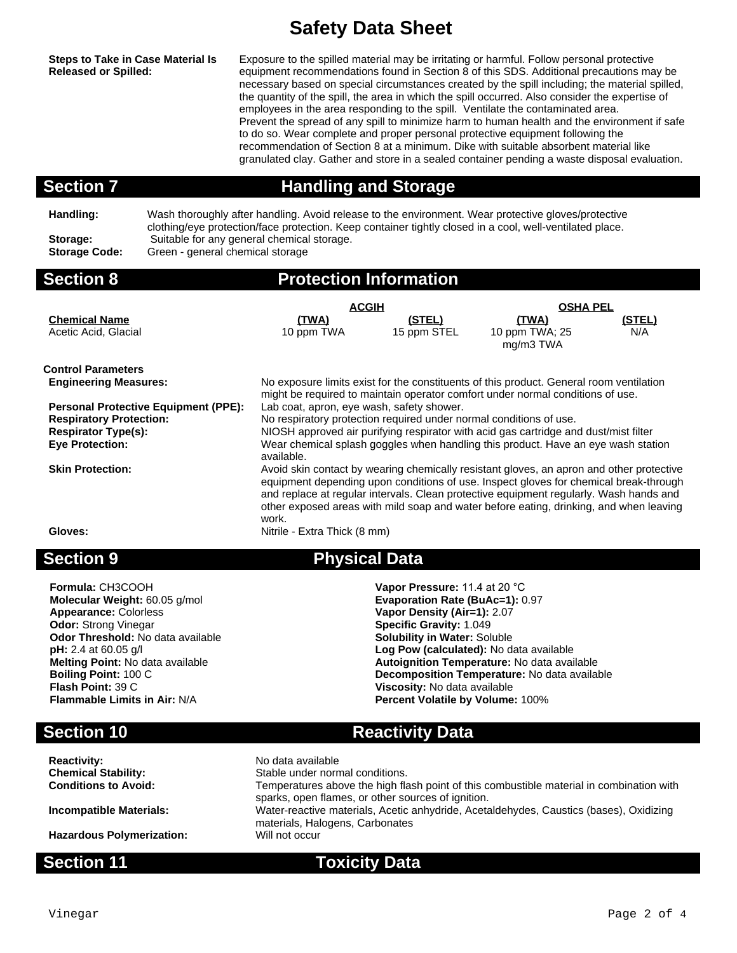# **Safety Data Sheet**

**Steps to Take in Case Material Is Released or Spilled:**

Exposure to the spilled material may be irritating or harmful. Follow personal protective equipment recommendations found in Section 8 of this SDS. Additional precautions may be necessary based on special circumstances created by the spill including; the material spilled, the quantity of the spill, the area in which the spill occurred. Also consider the expertise of employees in the area responding to the spill. Ventilate the contaminated area. Prevent the spread of any spill to minimize harm to human health and the environment if safe to do so. Wear complete and proper personal protective equipment following the recommendation of Section 8 at a minimum. Dike with suitable absorbent material like granulated clay. Gather and store in a sealed container pending a waste disposal evaluation.

**Section 7 Handling and Storage**

**Handling:** Wash thoroughly after handling. Avoid release to the environment. Wear protective gloves/protective clothing/eye protection/face protection. Keep container tightly closed in a cool, well-ventilated place. Storage: Suitable for any general chemical storage.<br>**Storage Code:** Green - general chemical storage **Storage Code:** Green - general chemical storage

### **Section 8 Protection Information**

|                                             | <b>ACGIH</b>                                                                                                                                                                                                                                                                                                                                                                   |             | <b>OSHA PEL</b>             |        |  |  |
|---------------------------------------------|--------------------------------------------------------------------------------------------------------------------------------------------------------------------------------------------------------------------------------------------------------------------------------------------------------------------------------------------------------------------------------|-------------|-----------------------------|--------|--|--|
| <b>Chemical Name</b>                        | (TWA)                                                                                                                                                                                                                                                                                                                                                                          | (STEL)      | <u>(TWA)</u>                | (STEL) |  |  |
| Acetic Acid, Glacial                        | 10 ppm TWA                                                                                                                                                                                                                                                                                                                                                                     | 15 ppm STEL | 10 ppm TWA; 25<br>mg/m3 TWA | N/A    |  |  |
| <b>Control Parameters</b>                   |                                                                                                                                                                                                                                                                                                                                                                                |             |                             |        |  |  |
| <b>Engineering Measures:</b>                | No exposure limits exist for the constituents of this product. General room ventilation<br>might be required to maintain operator comfort under normal conditions of use.                                                                                                                                                                                                      |             |                             |        |  |  |
| <b>Personal Protective Equipment (PPE):</b> | Lab coat, apron, eye wash, safety shower.                                                                                                                                                                                                                                                                                                                                      |             |                             |        |  |  |
| <b>Respiratory Protection:</b>              | No respiratory protection required under normal conditions of use.                                                                                                                                                                                                                                                                                                             |             |                             |        |  |  |
| <b>Respirator Type(s):</b>                  | NIOSH approved air purifying respirator with acid gas cartridge and dust/mist filter                                                                                                                                                                                                                                                                                           |             |                             |        |  |  |
| <b>Eye Protection:</b>                      | Wear chemical splash goggles when handling this product. Have an eye wash station<br>available.                                                                                                                                                                                                                                                                                |             |                             |        |  |  |
| <b>Skin Protection:</b>                     | Avoid skin contact by wearing chemically resistant gloves, an apron and other protective<br>equipment depending upon conditions of use. Inspect gloves for chemical break-through<br>and replace at regular intervals. Clean protective equipment regularly. Wash hands and<br>other exposed areas with mild soap and water before eating, drinking, and when leaving<br>work. |             |                             |        |  |  |
| Gloves:                                     | Nitrile - Extra Thick (8 mm)                                                                                                                                                                                                                                                                                                                                                   |             |                             |        |  |  |

### **Section 9 Physical Data**

**Formula:** CH3COOH **Vapor Pressure:** 11.4 at 20 °C **Appearance:** Colorless **Vapor Density (Air=1):** 2.07 **Odor:** Strong Vinegar **Superific Gravity: 1.049**<br> **Odor Threshold:** No data available **Solubility in Water:** Soluble **Odor Threshold:** No data available **pH:** 2.4 at 60.05 g/l **Melting Point:** No data available **Autoignition Temperature:** No data available **Boiling Point:** 100 C<br>**Boiling Point:** 100 C **Boiling Point:** 100 C **Decomposition Temperature:** No data available **Flash Point:** 39 C **Viscosity:** No data available

**Molecular Weight:** 60.05 g/mol **Evaporation Rate (BuAc=1):** 0.97 Log Pow (calculated): No data available

**Percent Volatile by Volume: 100%** 

**Section 10 Reactivity Data Reactivity:** No data available<br> **Chemical Stability:** No data available<br>
Stable under norr Stable under normal conditions. **Conditions to Avoid:** Temperatures above the high flash point of this combustible material in combination with sparks, open flames, or other sources of ignition. **Incompatible Materials:** Water-reactive materials, Acetic anhydride, Acetaldehydes, Caustics (bases), Oxidizing materials, Halogens, Carbonates **Hazardous Polymerization:** Will not occur

### **Section 11 Toxicity Data**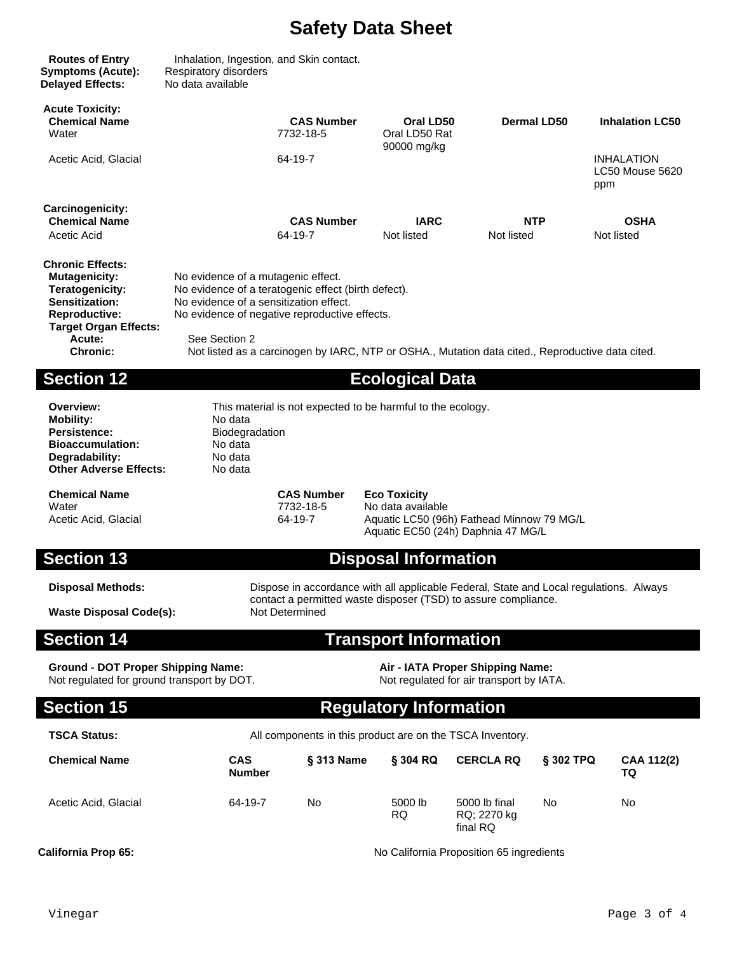# **Safety Data Sheet**

| <b>Routes of Entry</b><br><b>Symptoms (Acute):</b><br><b>Delayed Effects:</b>                                                                                             | Inhalation, Ingestion, and Skin contact.<br>Respiratory disorders<br>No data available                                                                                                                                                                                                                    |                                |                                           |             |                                             |  |
|---------------------------------------------------------------------------------------------------------------------------------------------------------------------------|-----------------------------------------------------------------------------------------------------------------------------------------------------------------------------------------------------------------------------------------------------------------------------------------------------------|--------------------------------|-------------------------------------------|-------------|---------------------------------------------|--|
| <b>Acute Toxicity:</b><br><b>Chemical Name</b><br>Water                                                                                                                   |                                                                                                                                                                                                                                                                                                           | <b>CAS Number</b><br>7732-18-5 | Oral LD50<br>Oral LD50 Rat<br>90000 mg/kg | Dermal LD50 | <b>Inhalation LC50</b>                      |  |
| Acetic Acid, Glacial                                                                                                                                                      |                                                                                                                                                                                                                                                                                                           | 64-19-7                        |                                           |             | <b>INHALATION</b><br>LC50 Mouse 5620<br>ppm |  |
| Carcinogenicity:<br><b>Chemical Name</b>                                                                                                                                  |                                                                                                                                                                                                                                                                                                           | <b>CAS Number</b>              | <b>IARC</b>                               | <b>NTP</b>  | <b>OSHA</b>                                 |  |
| Acetic Acid                                                                                                                                                               |                                                                                                                                                                                                                                                                                                           | 64-19-7                        | Not listed                                | Not listed  | Not listed                                  |  |
| <b>Chronic Effects:</b><br><b>Mutagenicity:</b><br>Teratogenicity:<br>Sensitization:<br><b>Reproductive:</b><br><b>Target Organ Effects:</b><br>Acute:<br><b>Chronic:</b> | No evidence of a mutagenic effect.<br>No evidence of a teratogenic effect (birth defect).<br>No evidence of a sensitization effect.<br>No evidence of negative reproductive effects.<br>See Section 2<br>Not listed as a carcinogen by IARC, NTP or OSHA., Mutation data cited., Reproductive data cited. |                                |                                           |             |                                             |  |
| <b>Section 12</b>                                                                                                                                                         |                                                                                                                                                                                                                                                                                                           |                                | <b>Ecological Data</b>                    |             |                                             |  |

**Mobility:** Persistence: Biodegradation **Bioaccumulation:** No data **Degradability: No data<br>
<b>Other Adverse Effects:** No data **Other Adverse Effects:** 

**Overview:** This material is not expected to be harmful to the ecology.<br> **Mobility:** Modata

**Chemical Name CAS Number Eco Toxicity** Water 1990 Modata available 1990 Modata available 1990 Modata available<br>Acetic Acid, Glacial 1990 Model 2009 Model 2009 Model 2009 Model 2009 Model 2009 Model 2011

Aquatic LC50 (96h) Fathead Minnow 79 MG/L Aquatic EC50 (24h) Daphnia 47 MG/L

### **Section 13 Disposal Information**

**Waste Disposal Code(s):** 

**Disposal Methods:** Dispose in accordance with all applicable Federal, State and Local regulations. Always contact a permitted waste disposer (TSD) to assure compliance.

### **Section 14 Transport Information**

**Ground - DOT Proper Shipping Name: Air - IATA Proper Shipping Name:** Not regulated for ground transport by DOT. Not regulated for air transport by IATA.

### **Section 15 Regulatory Information**

### **TSCA Status:** All components in this product are on the TSCA Inventory.

| <b>Chemical Name</b> | <b>CAS</b><br><b>Number</b> | § 313 Name | § 304 RQ       | <b>CERCLA RQ</b>                         | <b>§ 302 TPQ</b> | CAA 112(2)<br>TQ |
|----------------------|-----------------------------|------------|----------------|------------------------------------------|------------------|------------------|
| Acetic Acid, Glacial | 64-19-7                     | No         | 5000 lb<br>RQ. | 5000 lb final<br>RQ: 2270 kg<br>final RQ | No               | No               |

**California Prop 65:** California Proposition 65 ingredients